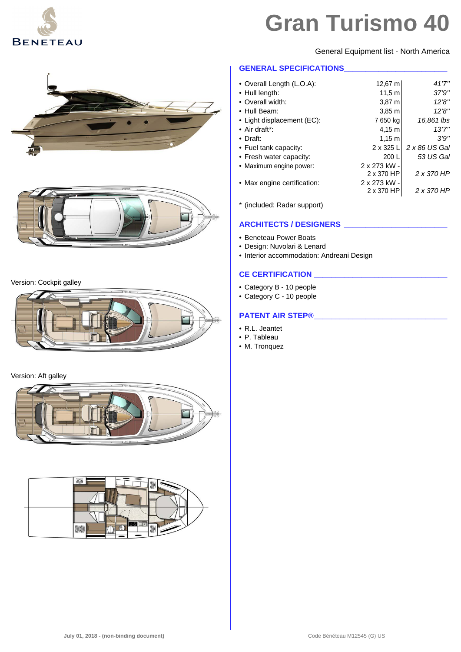

General Equipment list - North America

#### **GENERAL SPECIFICATIONS\_\_\_\_\_\_\_\_\_\_\_\_\_\_\_\_\_\_\_\_\_\_\_\_**

| • Overall Length (L.O.A):   | 12,67 m           | 41'7''        |
|-----------------------------|-------------------|---------------|
| • Hull length:              | 11.5 m            | 37'9''        |
| • Overall width:            | $3,87 \; m$       | 12'8''        |
| • Hull Beam:                | 3.85 <sub>m</sub> | 12'8''        |
| • Light displacement (EC):  | 7 650 kg          | 16,861 lbs    |
| $\bullet$ Air draft*:       | $4,15 \; m$       | 13'7''        |
| $\bullet$ Draft:            | $1,15 \; m$       | 3'9''         |
| • Fuel tank capacity:       | 2 x 325 L         | 2 x 86 US Gal |
| • Fresh water capacity:     | 200L              | 53 US Gal     |
| • Maximum engine power:     | 2 x 273 kW -      |               |
|                             | 2 x 370 HP        | 2 x 370 HP    |
| • Max engine certification: | 2 x 273 kW -      |               |
|                             | 2 x 370 HP        | 2 x 370 HP    |

\* (included: Radar support)

#### **ARCHITECTS / DESIGNERS \_\_\_\_\_\_\_\_\_\_\_\_\_\_\_\_\_\_\_\_\_\_\_\_**

- Beneteau Power Boats
- Design: Nuvolari & Lenard
- Interior accommodation: Andreani Design

#### **CE CERTIFICATION \_\_\_\_\_\_\_\_\_\_\_\_\_\_\_\_\_\_\_\_\_\_\_\_\_\_\_\_\_\_\_**

- Category B 10 people
- Category C 10 people

#### **PATENT AIR STEP®\_\_\_\_\_\_\_\_\_\_\_\_\_\_\_\_\_\_\_\_\_\_\_\_\_\_\_\_\_\_\_**

- R.L. Jeantet
- P. Tableau
- M. Tronquez



#### Version: Cockpit galley



#### Version: Aft galley



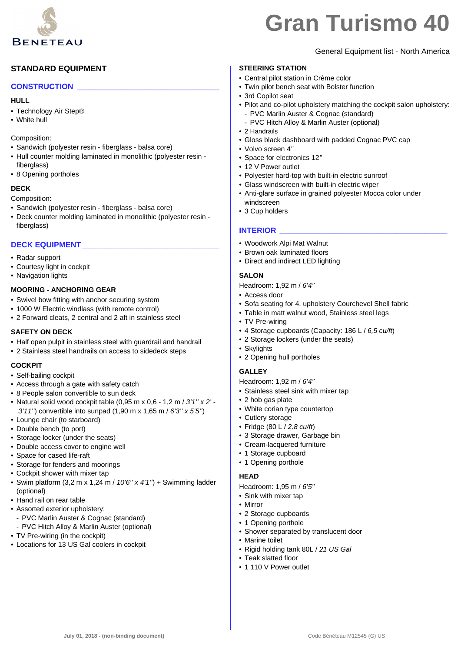

### **STANDARD EQUIPMENT**

#### **CONSTRUCTION \_\_\_\_\_\_\_\_\_\_\_\_\_\_\_\_\_\_\_\_\_\_\_\_\_\_\_\_\_\_\_\_\_**

#### **HULL**

- Technology Air Step®
- White hull

Composition:

- Sandwich (polyester resin fiberglass balsa core)
- Hull counter molding laminated in monolithic (polyester resin -
- fiberglass)
- 8 Opening portholes

#### **DECK**

Composition:

- Sandwich (polyester resin fiberglass balsa core)
- Deck counter molding laminated in monolithic (polyester resin fiberglass)

#### **DECK EQUIPMENT\_\_\_\_\_\_\_\_\_\_\_\_\_\_\_\_\_\_\_\_\_\_\_\_\_\_\_\_\_\_\_\_**

- Radar support
- Courtesy light in cockpit
- Navigation lights

#### **MOORING - ANCHORING GEAR**

- Swivel bow fitting with anchor securing system
- 1000 W Electric windlass (with remote control)
- 2 Forward cleats, 2 central and 2 aft in stainless steel

#### **SAFETY ON DECK**

- Half open pulpit in stainless steel with guardrail and handrail
- 2 Stainless steel handrails on access to sidedeck steps

#### **COCKPIT**

- Self-bailing cockpit
- Access through a gate with safety catch
- 8 People salon convertible to sun deck
- Natural solid wood cockpit table (0,95 m x 0,6 1,2 m / *3'1'' x 2' - 3'11''*) convertible into sunpad (1,90 m x 1,65 m / *6'3'' x 5'5''*)
- Lounge chair (to starboard)
- Double bench (to port)
- Storage locker (under the seats)
- Double access cover to engine well
- Space for cased life-raft
- Storage for fenders and moorings
- Cockpit shower with mixer tap
- Swim platform (3,2 m x 1,24 m / *10'6'' x 4'1''*) + Swimming ladder (optional)
- Hand rail on rear table
- Assorted exterior upholstery:
	- PVC Marlin Auster & Cognac (standard)
- PVC Hitch Alloy & Marlin Auster (optional)
- TV Pre-wiring (in the cockpit)
- Locations for 13 US Gal coolers in cockpit

#### General Equipment list - North America

#### **STEERING STATION**

- Central pilot station in Crème color
- Twin pilot bench seat with Bolster function
- 3rd Copilot seat
- Pilot and co-pilot upholstery matching the cockpit salon upholstery: - PVC Marlin Auster & Cognac (standard)
	- PVC Hitch Alloy & Marlin Auster (optional)
- 2 Handrails
- Gloss black dashboard with padded Cognac PVC cap
- Volvo screen 4*''*
- Space for electronics 12*''*
- 12 V Power outlet
- Polyester hard-top with built-in electric sunroof
- Glass windscreen with built-in electric wiper
- Anti-glare surface in grained polyester Mocca color under windscreen
- 3 Cup holders

#### **INTERIOR**

- Woodwork Alpi Mat Walnut
- Brown oak laminated floors
- Direct and indirect LED lighting

#### **SALON**

- Headroom: 1,92 m / *6'4''*
- Access door
- Sofa seating for 4, upholstery Courchevel Shell fabric
- Table in matt walnut wood, Stainless steel legs
- TV Pre-wiring
- 4 Storage cupboards (Capacity: 186 L / *6,5 cu/ft*)
- 2 Storage lockers (under the seats)
- Skylights
- 2 Opening hull portholes

#### **GALLEY**

Headroom: 1,92 m / *6'4''*

- Stainless steel sink with mixer tap
- 2 hob gas plate
- White corian type countertop
- Cutlery storage
- Fridge (80 L / *2.8 cu/ft*)
- 3 Storage drawer, Garbage bin
- Cream-lacquered furniture
- 1 Storage cupboard
- 1 Opening porthole

#### **HEAD**

- Headroom: 1,95 m / *6'5''*
- Sink with mixer tap
- Mirror
- 2 Storage cupboards
- 1 Opening porthole
- Shower separated by translucent door
- Marine toilet
- Rigid holding tank 80L / *21 US Gal*
- Teak slatted floor
- 1 110 V Power outlet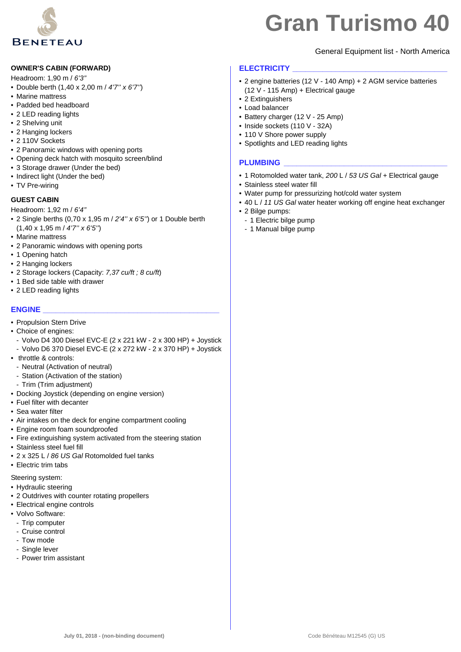

#### **OWNER'S CABIN (FORWARD)**

- Headroom: 1,90 m / *6'3''*
- Double berth (1,40 x 2,00 m / *4'7'' x 6'7''*)
- Marine mattress
- Padded bed headboard
- 2 LED reading lights
- 2 Shelving unit
- 2 Hanging lockers
- 2 110V Sockets
- 2 Panoramic windows with opening ports
- Opening deck hatch with mosquito screen/blind
- 3 Storage drawer (Under the bed)
- Indirect light (Under the bed)
- TV Pre-wiring

#### **GUEST CABIN**

Headroom: 1,92 m / *6'4''*

- 2 Single berths (0,70 x 1,95 m / *2'4'' x 6'5''*) or 1 Double berth (1,40 x 1,95 m / *4'7'' x 6'5''*)
- Marine mattress
- 2 Panoramic windows with opening ports
- 1 Opening hatch
- 2 Hanging lockers
- 2 Storage lockers (Capacity: *7,37 cu/ft ; 8 cu/ft*)
- 1 Bed side table with drawer
- 2 LED reading lights

#### **ENGINE \_\_\_\_\_\_\_\_\_\_\_\_\_\_\_\_\_\_\_\_\_\_\_\_\_\_\_\_\_\_\_\_\_\_\_\_\_\_\_\_\_**

- Propulsion Stern Drive
- Choice of engines:
- Volvo D4 300 Diesel EVC-E (2 x 221 kW 2 x 300 HP) + Joystick
- Volvo D6 370 Diesel EVC-E (2 x 272 kW 2 x 370 HP) + Joystick
- throttle & controls:
	- Neutral (Activation of neutral)
	- Station (Activation of the station)
- Trim (Trim adjustment)
- Docking Joystick (depending on engine version)
- Fuel filter with decanter
- Sea water filter
- Air intakes on the deck for engine compartment cooling
- Engine room foam soundproofed
- Fire extinguishing system activated from the steering station
- Stainless steel fuel fill
- 2 x 325 L / *86 US Gal* Rotomolded fuel tanks
- Electric trim tabs

Steering system:

- Hydraulic steering
- 2 Outdrives with counter rotating propellers
- Electrical engine controls
- Volvo Software:
- Trip computer
- Cruise control
- Tow mode
- Single lever
- Power trim assistant

### General Equipment list - North America

#### **ELECTRICITY \_\_\_\_\_\_\_\_\_\_\_\_\_\_\_\_\_\_\_\_\_\_\_\_\_\_\_\_\_\_\_\_\_\_\_\_**

- 2 engine batteries (12 V 140 Amp) + 2 AGM service batteries (12 V - 115 Amp) + Electrical gauge
- 2 Extinguishers
- Load balancer
- Battery charger (12 V 25 Amp)
- Inside sockets (110 V 32A)
- 110 V Shore power supply
- Spotlights and LED reading lights

#### **PLUMBING \_\_\_\_\_\_\_\_\_\_\_\_\_\_\_\_\_\_\_\_\_\_\_\_\_\_\_\_\_\_\_\_\_\_\_\_\_\_**

- 1 Rotomolded water tank, *200* L / *53 US Gal* + Electrical gauge
- Stainless steel water fill
- Water pump for pressurizing hot/cold water system
- 40 L / *11 US Gal* water heater working off engine heat exchanger
- 2 Bilge pumps:
	- 1 Electric bilge pump
	- 1 Manual bilge pump